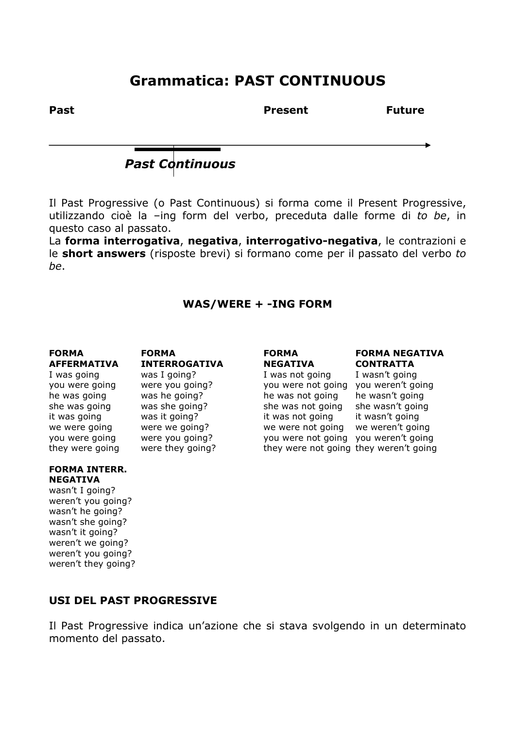## **Grammatica: PAST CONTINUOUS**

Past **Past Present** Present **Future** 

*Past Continuous* 

Il Past Progressive (o Past Continuous) si forma come il Present Progressive, utilizzando cioè la –ing form del verbo, preceduta dalle forme di *to be*, in questo caso al passato.

La **forma interrogativa**, **negativa**, **interrogativo-negativa**, le contrazioni e le **short answers** (risposte brevi) si formano come per il passato del verbo *to be*.

### **WAS/WERE + -ING FORM**

**FORMA INTERR.** 

**NEGATIVA**  wasn't I going? weren't you going? wasn't he going? wasn't she going? wasn't it going? weren't we going? weren't you going?

weren't they going?

**AFFERMATIVA INTERROGATIVA NEGATIVA CONTRATTA**  I was going was I going? I was not going I wasn't going you were going were you going? you were not going you weren't going he was going was he going?<br>
he was not going he wasn't going<br>
she was not going she wasn't going<br>
he was not going she wasn't going she was going was she going? she was not going it was going was it going? it was not going it wasn't going we were going were we going? we were not going we weren't going you were going were you going? you were not going you weren't going

# **FORMA FORMA FORMA FORMA NEGATIVA**

they were going were they going? they were not going they weren't going

## **USI DEL PAST PROGRESSIVE**

Il Past Progressive indica un'azione che si stava svolgendo in un determinato momento del passato.